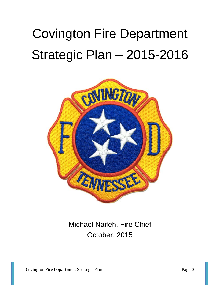# Covington Fire Department Strategic Plan – 2015-2016



## Michael Naifeh, Fire Chief October, 2015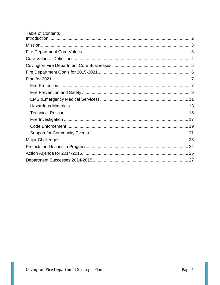| <b>Table of Contents</b> |  |
|--------------------------|--|
|                          |  |
|                          |  |
|                          |  |
|                          |  |
|                          |  |
|                          |  |
|                          |  |
|                          |  |
|                          |  |
|                          |  |
|                          |  |
|                          |  |
|                          |  |
|                          |  |
|                          |  |
|                          |  |
|                          |  |
|                          |  |
|                          |  |
|                          |  |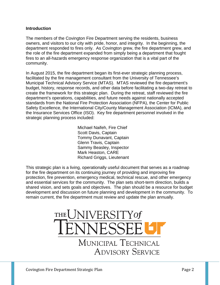#### <span id="page-2-0"></span>**Introduction**

The members of the Covington Fire Department serving the residents, business owners, and visitors to our city with pride, honor, and integrity. In the beginning, the department responded to fires only. As Covington grew, the fire department grew, and the role of the fire department expanded from simply being a department that fought fires to an all-hazards emergency response organization that is a vital part of the community.

In August 2015, the fire department began its first-ever strategic planning process, facilitated by the fire management consultant from the University of Tennessee's Municipal Technical Advisory Service (MTAS). MTAS reviewed the fire department's budget, history, response records, and other data before facilitating a two-day retreat to create the framework for this strategic plan. During the retreat, staff reviewed the fire department's operations, capabilities, and future needs against nationally accepted standards from the National Fire Protection Association (NFPA), the Center for Public Safety Excellence, the International City/County Management Association (ICMA), and the Insurance Services Office (ISO). Key fire department personnel involved in the strategic planning process included:

> Michael Naifeh, Fire Chief Scott Davis, Captain Tommy Dunavant, Captain Glenn Travis, Captain Sammy Beasley, Inspector Mark Heaston, CARE Richard Griggs, Lieutenant

This strategic plan is a living, operationally useful document that serves as a roadmap for the fire department on its continuing journey of providing and improving fire protection, fire prevention, emergency medical, technical rescue, and other emergency and essential services for the community. The plan sets short-term direction, builds a shared vision, and sets goals and objectives. The plan should be a resource for budget development and discussion on future planning and development in the community. To remain current, the fire department must review and update the plan annually.

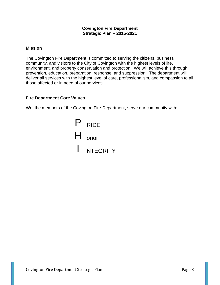#### **Covington Fire Department Strategic Plan – 2015-2021**

#### <span id="page-3-0"></span>**Mission**

The Covington Fire Department is committed to serving the citizens, business community, and visitors to the City of Covington with the highest levels of life, environment, and property conservation and protection. We will achieve this through prevention, education, preparation, response, and suppression. The department will deliver all services with the highest level of care, professionalism, and compassion to all those affected or in need of our services.

#### <span id="page-3-1"></span>**Fire Department Core Values**

We, the members of the Covington Fire Department, serve our community with:

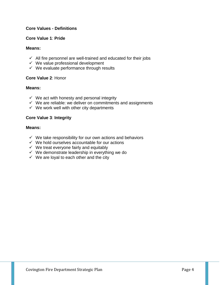#### <span id="page-4-0"></span>**Core Values - Definitions**

#### **Core Value 1**: **Pride**

#### **Means:**

- $\checkmark$  All fire personnel are well-trained and educated for their jobs
- $\checkmark$  We value professional development
- $\checkmark$  We evaluate performance through results

#### **Core Value 2**: Honor

#### **Means:**

- $\checkmark$  We act with honesty and personal integrity
- $\checkmark$  We are reliable: we deliver on commitments and assignments
- $\checkmark$  We work well with other city departments

#### **Core Value 3**: **Integrity**

#### **Means:**

- $\checkmark$  We take responsibility for our own actions and behaviors
- $\checkmark$  We hold ourselves accountable for our actions
- $\checkmark$  We treat everyone fairly and equitably
- $\checkmark$  We demonstrate leadership in everything we do
- $\checkmark$  We are loyal to each other and the city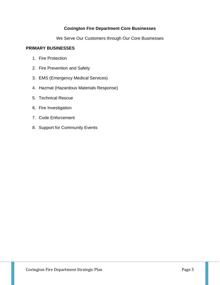#### **Covington Fire Department Core Businesses**

We Serve Our Customers through Our Core Businesses

#### <span id="page-5-0"></span>**PRIMARY BUSINESSES**

- 1. Fire Protection
- 2. Fire Prevention and Safety
- 3. EMS (Emergency Medical Services)
- 4. Hazmat (Hazardous Materials Response)
- 5. Technical Rescue
- 6. Fire Investigation
- 7. Code Enforcement
- 8. Support for Community Events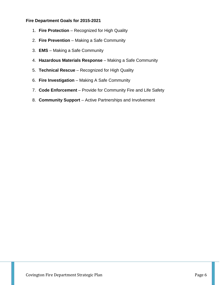#### <span id="page-6-0"></span>**Fire Department Goals for 2015-2021**

- 1. **Fire Protection** Recognized for High Quality
- 2. **Fire Prevention** Making a Safe Community
- 3. **EMS**  Making a Safe Community
- 4. **Hazardous Materials Response** Making a Safe Community
- 5. **Technical Rescue** Recognized for High Quality
- 6. **Fire Investigation** Making A Safe Community
- 7. **Code Enforcement** Provide for Community Fire and Life Safety
- 8. **Community Support** Active Partnerships and Involvement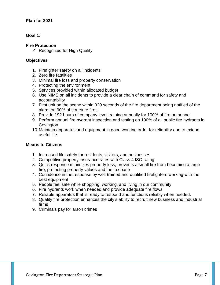#### <span id="page-7-0"></span>**Plan for 2021**

#### **Goal 1:**

#### <span id="page-7-1"></span>**Fire Protection**

 $\checkmark$  Recognized for High Quality

#### **Objectives**

- 1. Firefighter safety on all incidents
- 2. Zero fire fatalities
- 3. Minimal fire loss and property conservation
- 4. Protecting the environment
- 5. Services provided within allocated budget
- 6. Use NIMS on all incidents to provide a clear chain of command for safety and accountability
- 7. First unit on the scene within 320 seconds of the fire department being notified of the alarm on 90% of structure fires
- 8. Provide 192 hours of company level training annually for 100% of fire personnel
- 9. Perform annual fire hydrant inspection and testing on 100% of all public fire hydrants in **Covington**
- 10.Maintain apparatus and equipment in good working order for reliability and to extend useful life

#### **Means to Citizens**

- 1. Increased life safety for residents, visitors, and businesses
- 2. Competitive property insurance rates with Class 4 ISO rating
- 3. Quick response minimizes property loss, prevents a small fire from becoming a large fire, protecting property values and the tax base
- 4. Confidence in the response by well-trained and qualified firefighters working with the best equipment
- 5. People feel safe while shopping, working, and living in our community
- 6. Fire hydrants work when needed and provide adequate fire flows
- 7. Reliable apparatus that is ready to respond and functions reliably when needed.
- 8. Quality fire protection enhances the city's ability to recruit new business and industrial firms
- 9. Criminals pay for arson crimes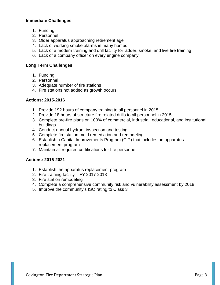#### **Immediate Challenges**

- 1. Funding
- 2. Personnel
- 3. Older apparatus approaching retirement age
- 4. Lack of working smoke alarms in many homes
- 5. Lack of a modern training and drill facility for ladder, smoke, and live fire training
- 6. Lack of a company officer on every engine company

#### **Long Term Challenges**

- 1. Funding
- 2. Personnel
- 3. Adequate number of fire stations
- 4. Fire stations not added as growth occurs

#### **Actions: 2015-2016**

- 1. Provide 192 hours of company training to all personnel in 2015
- 2. Provide 18 hours of structure fire related drills to all personnel in 2015
- 3. Complete pre-fire plans on 100% of commercial, industrial, educational, and institutional buildings
- 4. Conduct annual hydrant inspection and testing
- 5. Complete fire station mold remediation and remodeling
- 6. Establish a Capital Improvements Program (CIP) that includes an apparatus replacement program
- 7. Maintain all required certifications for fire personnel

- 1. Establish the apparatus replacement program
- 2. Fire training facility FY 2017-2018
- 3. Fire station remodeling
- 4. Complete a comprehensive community risk and vulnerability assessment by 2018
- 5. Improve the community's ISO rating to Class 3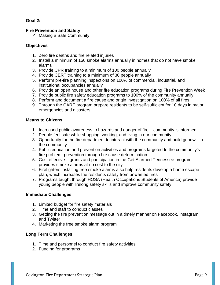#### **Goal 2:**

#### <span id="page-9-0"></span>**Fire Prevention and Safety**

 $\checkmark$  Making a Safe Community

#### **Objectives**

- 1. Zero fire deaths and fire related injuries
- 2. Install a minimum of 150 smoke alarms annually in homes that do not have smoke alarms
- 3. Provide CPR training to a minimum of 100 people annually
- 4. Provide CERT training to a minimum of 30 people annually
- 5. Perform pre-fire planning inspections on 100% of commercial, industrial, and institutional occupancies annually
- 6. Provide an open house and other fire education programs during Fire Prevention Week
- 7. Provide public fire safety education programs to 100% of the community annually
- 8. Perform and document a fire cause and origin investigation on 100% of all fires
- 9. Through the CARE program prepare residents to be self-sufficient for 10 days in major emergencies and disasters

#### **Means to Citizens**

- 1. Increased public awareness to hazards and danger of fire community is informed
- 2. People feel safe while shopping, working, and living in our community
- 3. Opportunity for the fire department to interact with the community and build goodwill in the community
- 4. Public education and prevention activities and programs targeted to the community's fire problem: prevention through fire cause determination
- 5. Cost effective grants and participation in the Get Alarmed Tennessee program provides smoke alarms at no cost to the city
- 6. Firefighters installing free smoke alarms also help residents develop a home escape plan, which increases the residents safety from unwanted fires
- 7. Programs taught through HOSA (Health Occupations Students of America) provide young people with lifelong safety skills and improve community safety

#### **Immediate Challenges**

- 1. Limited budget for fire safety materials
- 2. Time and staff to conduct classes
- 3. Getting the fire prevention message out in a timely manner on Facebook, Instagram, and Twitter
- 4. Marketing the free smoke alarm program

- 1. Time and personnel to conduct fire safety activities
- 2. Funding for programs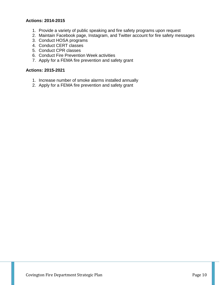- 1. Provide a variety of public speaking and fire safety programs upon request
- 2. Maintain Facebook page, Instagram, and Twitter account for fire safety messages
- 3. Conduct HOSA programs
- 4. Conduct CERT classes
- 5. Conduct CPR classes
- 6. Conduct Fire Prevention Week activities
- 7. Apply for a FEMA fire prevention and safety grant

- 1. Increase number of smoke alarms installed annually
- 2. Apply for a FEMA fire prevention and safety grant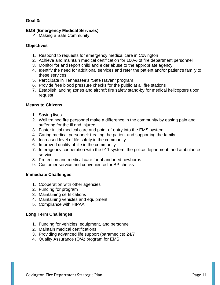#### **Goal 3:**

#### <span id="page-11-0"></span>**EMS (Emergency Medical Services)**

 $\checkmark$  Making a Safe Community

#### **Objectives**

- 1. Respond to requests for emergency medical care in Covington
- 2. Achieve and maintain medical certification for 100% of fire department personnel
- 3. Monitor for and report child and elder abuse to the appropriate agency
- 4. Identify the need for additional services and refer the patient and/or patient's family to these services
- 5. Participate in Tennessee's "Safe Haven" program
- 6. Provide free blood pressure checks for the public at all fire stations
- 7. Establish landing zones and aircraft fire safety stand-by for medical helicopters upon request

#### **Means to Citizens**

- 1. Saving lives
- 2. Well trained fire personnel make a difference in the community by easing pain and suffering for the ill and injured
- 3. Faster initial medical care and point-of-entry into the EMS system
- 4. Caring medical personnel: treating the patient and supporting the family
- 5. Increased level of life safety in the community
- 6. Improved quality of life in the community
- 7. Interagency cooperation with the 911 system, the police department, and ambulance service
- 8. Protection and medical care for abandoned newborns
- 9. Customer service and convenience for BP checks

#### **Immediate Challenges**

- 1. Cooperation with other agencies
- 2. Funding for program
- 3. Maintaining certifications
- 4. Maintaining vehicles and equipment
- 5. Compliance with HIPAA

- 1. Funding for vehicles, equipment, and personnel
- 2. Maintain medical certifications
- 3. Providing advanced life support (paramedics) 24/7
- 4. Quality Assurance (Q/A) program for EMS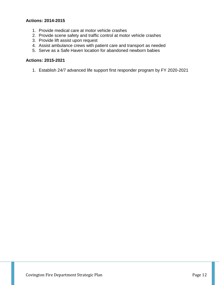- 1. Provide medical care at motor vehicle crashes
- 2. Provide scene safety and traffic control at motor vehicle crashes
- 3. Provide lift assist upon request
- 4. Assist ambulance crews with patient care and transport as needed
- 5. Serve as a Safe Haven location for abandoned newborn babies

#### **Actions: 2015-2021**

1. Establish 24/7 advanced life support first responder program by FY 2020-2021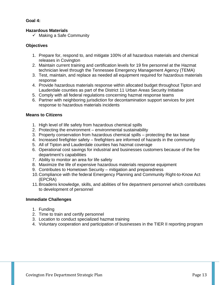#### **Goal 4:**

#### <span id="page-13-0"></span>**Hazardous Materials**

 $\checkmark$  Making a Safe Community

#### **Objectives**

- 1. Prepare for, respond to, and mitigate 100% of all hazardous materials and chemical releases in Covington
- 2. Maintain current training and certification levels for 19 fire personnel at the Hazmat technician level through the Tennessee Emergency Management Agency (TEMA)
- 3. Test, maintain, and replace as needed all equipment required for hazardous materials response
- 4. Provide hazardous materials response within allocated budget throughout Tipton and Lauderdale counties as part of the District 11 Urban Areas Security Initiative
- 5. Comply with all federal regulations concerning hazmat response teams
- 6. Partner with neighboring jurisdiction for decontamination support services for joint response to hazardous materials incidents

#### **Means to Citizens**

- 1. High level of life safety from hazardous chemical spills
- 2. Protecting the environment environmental sustainability
- 3. Property conservation from hazardous chemical spills protecting the tax base
- 4. Increased firefighter safety firefighters are informed of hazards in the community
- 5. All of Tipton and Lauderdale counties has hazmat coverage
- 6. Operational cost savings for industrial and businesses customers because of the fire department's capabilities
- 7. Ability to monitor an area for life safety
- 8. Maximize the life of expensive hazardous materials response equipment
- 9. Contributes to Hometown Security mitigation and preparedness
- 10.Compliance with the federal Emergency Planning and Community Right-to-Know Act (EPCRA)
- 11.Broadens knowledge, skills, and abilities of fire department personnel which contributes to development of personnel

#### **Immediate Challenges**

- 1. Funding
- 2. Time to train and certify personnel
- 3. Location to conduct specialized hazmat training
- 4. Voluntary cooperation and participation of businesses in the TIER II reporting program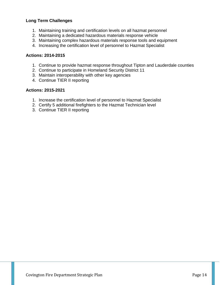#### **Long Term Challenges**

- 1. Maintaining training and certification levels on all hazmat personnel
- 2. Maintaining a dedicated hazardous materials response vehicle
- 3. Maintaining complex hazardous materials response tools and equipment
- 4. Increasing the certification level of personnel to Hazmat Specialist

#### **Actions: 2014-2015**

- 1. Continue to provide hazmat response throughout Tipton and Lauderdale counties
- 2. Continue to participate in Homeland Security District 11
- 3. Maintain interoperability with other key agencies
- 4. Continue TIER II reporting

- 1. Increase the certification level of personnel to Hazmat Specialist
- 2. Certify 5 additional firefighters to the Hazmat Technician level
- 3. Continue TIER II reporting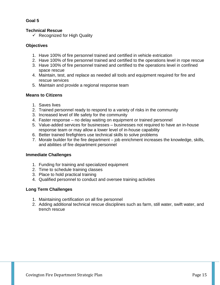#### **Goal 5**

#### <span id="page-15-0"></span>**Technical Rescue**

 $\checkmark$  Recognized for High Quality

#### **Objectives**

- 1. Have 100% of fire personnel trained and certified in vehicle extrication
- 2. Have 100% of fire personnel trained and certified to the operations level in rope rescue
- 3. Have 100% of fire personnel trained and certified to the operations level in confined space rescue
- 4. Maintain, test, and replace as needed all tools and equipment required for fire and rescue services
- 5. Maintain and provide a regional response team

#### **Means to Citizens**

- 1. Saves lives
- 2. Trained personnel ready to respond to a variety of risks in the community
- 3. Increased level of life safety for the community
- 4. Faster response no delay waiting on equipment or trained personnel
- 5. Value-added services for businesses businesses not required to have an in-house response team or may allow a lower level of in-house capability
- 6. Better trained firefighters use technical skills to solve problems
- 7. Morale builder for the fire department job enrichment increases the knowledge, skills, and abilities of fire department personnel

#### **Immediate Challenges**

- 1. Funding for training and specialized equipment
- 2. Time to schedule training classes
- 3. Place to hold practical training
- 4. Qualified personnel to conduct and oversee training activities

- 1. Maintaining certification on all fire personnel
- 2. Adding additional technical rescue disciplines such as farm, still water, swift water, and trench rescue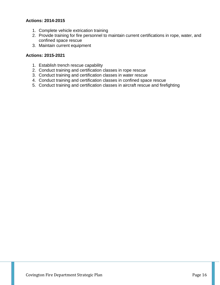- 1. Complete vehicle extrication training
- 2. Provide training for fire personnel to maintain current certifications in rope, water, and confined space rescue
- 3. Maintain current equipment

- 1. Establish trench rescue capability
- 2. Conduct training and certification classes in rope rescue
- 3. Conduct training and certification classes in water rescue
- 4. Conduct training and certification classes in confined space rescue
- 5. Conduct training and certification classes in aircraft rescue and firefighting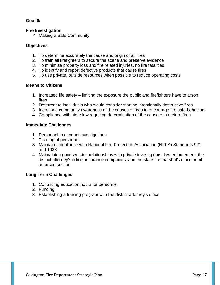#### **Goal 6:**

#### <span id="page-17-0"></span>**Fire Investigation**

 $\checkmark$  Making a Safe Community

#### **Objectives**

- 1. To determine accurately the cause and origin of all fires
- 2. To train all firefighters to secure the scene and preserve evidence
- 3. To minimize property loss and fire related injuries, no fire fatalities
- 4. To identify and report defective products that cause fires
- 5. To use private, outside resources when possible to reduce operating costs

#### **Means to Citizens**

- 1. Increased life safety limiting the exposure the public and firefighters have to arson fires
- 2. Deterrent to individuals who would consider starting intentionally destructive fires
- 3. Increased community awareness of the causes of fires to encourage fire safe behaviors
- 4. Compliance with state law requiring determination of the cause of structure fires

#### **Immediate Challenges**

- 1. Personnel to conduct investigations
- 2. Training of personnel
- 3. Maintain compliance with National Fire Protection Association (NFPA) Standards 921 and 1033
- 4. Maintaining good working relationships with private investigators, law enforcement, the district attorney's office, insurance companies, and the state fire marshal's office bomb ad arson section

- 1. Continuing education hours for personnel
- 2. Funding
- 3. Establishing a training program with the district attorney's office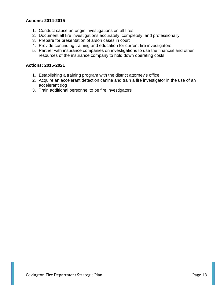- 1. Conduct cause an origin investigations on all fires
- 2. Document all fire investigations accurately, completely, and professionally
- 3. Prepare for presentation of arson cases in court
- 4. Provide continuing training and education for current fire investigators
- 5. Partner with insurance companies on investigations to use the financial and other resources of the insurance company to hold down operating costs

- 1. Establishing a training program with the district attorney's office
- 2. Acquire an accelerant detection canine and train a fire investigator in the use of an accelerant dog
- 3. Train additional personnel to be fire investigators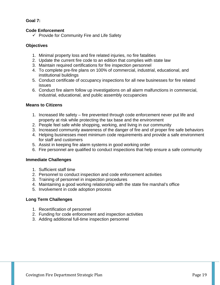#### **Goal 7:**

#### <span id="page-19-0"></span>**Code Enforcement**

 $\checkmark$  Provide for Community Fire and Life Safety

#### **Objectives**

- 1. Minimal property loss and fire related injuries, no fire fatalities
- 2. Update the current fire code to an edition that complies with state law
- 3. Maintain required certifications for fire inspection personnel
- 4. To complete pre-fire plans on 100% of commercial, industrial, educational, and institutional buildings
- 5. Conduct certificate of occupancy inspections for all new businesses for fire related issues
- 6. Conduct fire alarm follow up investigations on all alarm malfunctions in commercial, industrial, educational, and public assembly occupancies

#### **Means to Citizens**

- 1. Increased life safety fire prevented through code enforcement never put life and property at risk while protecting the tax base and the environment
- 2. People feel safe while shopping, working, and living in our community
- 3. Increased community awareness of the danger of fire and of proper fire safe behaviors
- 4. Helping businesses meet minimum code requirements and provide a safe environment for staff and customers
- 5. Assist in keeping fire alarm systems in good working order
- 6. Fire personnel are qualified to conduct inspections that help ensure a safe community

#### **Immediate Challenges**

- 1. Sufficient staff time
- 2. Personnel to conduct inspection and code enforcement activities
- 3. Training of personnel in inspection procedures
- 4. Maintaining a good working relationship with the state fire marshal's office
- 5. Involvement in code adoption process

- 1. Recertification of personnel
- 2. Funding for code enforcement and inspection activities
- 3. Adding additional full-time inspection personnel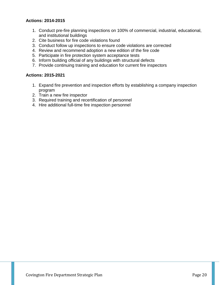- 1. Conduct pre-fire planning inspections on 100% of commercial, industrial, educational, and institutional buildings
- 2. Cite business for fire code violations found
- 3. Conduct follow up inspections to ensure code violations are corrected
- 4. Review and recommend adoption a new edition of the fire code
- 5. Participate in fire protection system acceptance tests
- 6. Inform building official of any buildings with structural defects
- 7. Provide continuing training and education for current fire inspectors

- 1. Expand fire prevention and inspection efforts by establishing a company inspection program
- 2. Train a new fire inspector
- 3. Required training and recertification of personnel
- 4. Hire additional full-time fire inspection personnel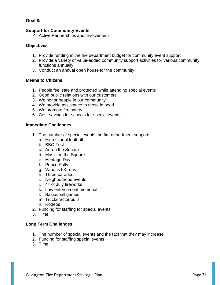#### **Goal 8:**

#### <span id="page-21-0"></span>**Support for Community Events**

 $\checkmark$  Active Partnerships and Involvement

#### **Objectives**

- 1. Provide funding in the fire department budget for community event support
- 2. Provide a variety of value-added community support activities for various community functions annually
- 3. Conduct an annual open house for the community

#### **Means to Citizens**

- 1. People feel safe and protected while attending special events
- 2. Good public relations with our customers
- 3. We honor people in our community
- 4. We provide assistance to those in need
- 5. We promote fire safety
- 6. Cost-savings for schools for special events

#### **Immediate Challenges**

- 1. The number of special events the fire department supports:
	- a. High school football
	- b. BBQ Fest
	- c. Art on the Square
	- d. Music on the Square
	- e. Heritage Day
	- f. Peace Rally
	- g. Various 5K runs
	- h. Three parades
	- i. Neighborhood events
	- j.  $4<sup>th</sup>$  of July fireworks
	- k. Law enforcement memorial
	- l. Basketball games
	- m. Truck/tractor pulls
	- n. Rodeos
- 2. Funding for staffing for special events
- 3. Time

- 1. The number of special events and the fact that they may increase
- 2. Funding for staffing special events
- 3. Time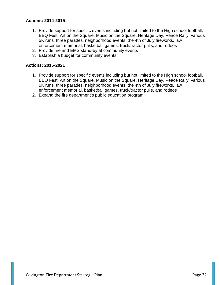- 1. Provide support for specific events including but not limited to the High school football, BBQ Fest, Art on the Square, Music on the Square, Heritage Day, Peace Rally, various 5K runs, three parades, neighborhood events, the 4th of July fireworks, law enforcement memorial, basketball games, truck/tractor pulls, and rodeos
- 2. Provide fire and EMS stand-by at community events
- 3. Establish a budget for community events

- 1. Provide support for specific events including but not limited to the High school football, BBQ Fest, Art on the Square, Music on the Square, Heritage Day, Peace Rally, various 5K runs, three parades, neighborhood events, the 4th of July fireworks, law enforcement memorial, basketball games, truck/tractor pulls, and rodeos
- 2. Expand the fire department's public education program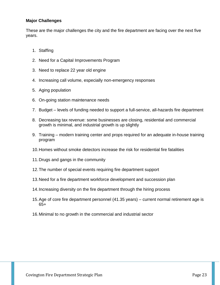#### <span id="page-23-0"></span>**Major Challenges**

These are the major challenges the city and the fire department are facing over the next five years.

- 1. Staffing
- 2. Need for a Capital Improvements Program
- 3. Need to replace 22 year old engine
- 4. Increasing call volume, especially non-emergency responses
- 5. Aging population
- 6. On-going station maintenance needs
- 7. Budget levels of funding needed to support a full-service, all-hazards fire department
- 8. Decreasing tax revenue: some businesses are closing, residential and commercial growth is minimal, and industrial growth is up slightly
- 9. Training modern training center and props required for an adequate in-house training program
- 10.Homes without smoke detectors increase the risk for residential fire fatalities
- 11.Drugs and gangs in the community
- 12.The number of special events requiring fire department support
- 13.Need for a fire department workforce development and succession plan
- 14.Increasing diversity on the fire department through the hiring process
- 15.Age of core fire department personnel (41.35 years) current normal retirement age is 65+
- 16.Minimal to no growth in the commercial and industrial sector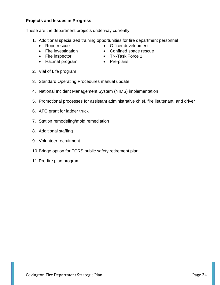#### <span id="page-24-0"></span>**Projects and Issues in Progress**

These are the department projects underway currently.

- 1. Additional specialized training opportunities for fire department personnel
	-
	-
	-

2. Vial of Life program

- Hazmat program Pre-plans
- 3. Standard Operating Procedures manual update
- 4. National Incident Management System (NIMS) implementation
- 5. Promotional processes for assistant administrative chief, fire lieutenant, and driver
- 6. AFG grant for ladder truck
- 7. Station remodeling/mold remediation
- 8. Additional staffing
- 9. Volunteer recruitment
- 10.Bridge option for TCRS public safety retirement plan
- 11.Pre-fire plan program
- Rope rescue Officer development
- Fire investigation Confined space rescue
- Fire inspector TN-Task Force 1
	-

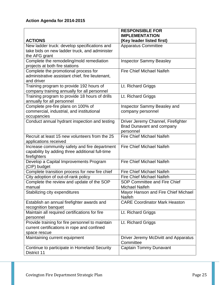<span id="page-25-0"></span>

|                                                  | <b>RESPONSIBLE FOR</b>               |
|--------------------------------------------------|--------------------------------------|
|                                                  | <b>IMPLEMENTATION</b>                |
| <b>ACTIONS</b>                                   | (Key leader listed first)            |
| New ladder truck: develop specifications and     | <b>Apparatus Committee</b>           |
| take bids on new ladder truck, and administer    |                                      |
| the AFG grant                                    |                                      |
| Complete the remodeling/mold remediation         | <b>Inspector Sammy Beasley</b>       |
| projects at both fire stations                   |                                      |
| Complete the promotional process for             | <b>Fire Chief Michael Naifeh</b>     |
| administrative assistant chief, fire lieutenant, |                                      |
| and driver                                       |                                      |
| Training program to provide 192 hours of         | Lt. Richard Griggs                   |
| company training annually for all personnel      |                                      |
| Training program to provide 18 hours of drills   | Lt. Richard Griggs                   |
| annually for all personnel                       |                                      |
| Complete pre-fire plans on 100% of               | Inspector Sammy Beasley and          |
| commercial, industrial, and institutional        | company personnel                    |
| occupancies                                      |                                      |
| Conduct annual hydrant inspection and testing    | Driver Jeremy Channel, Firefighter   |
|                                                  | <b>Brad Dunavant and company</b>     |
|                                                  | personnel                            |
| Recruit at least 15 new volunteers from the 25   | <b>Fire Chief Michael Naifeh</b>     |
| applications received                            |                                      |
| Increase community safety and fire department    | <b>Fire Chief Michael Naifeh</b>     |
| capability by adding three additional full-time  |                                      |
| firefighters                                     |                                      |
| Develop a Capital Improvements Program           | <b>Fire Chief Michael Naifeh</b>     |
| (CIP) budget                                     |                                      |
| Complete transition process for new fire chief   | <b>Fire Chief Michael Naifeh</b>     |
| City adoption of out-of-rank policy              | Fire Chief Michael Naifeh            |
| Complete the review and update of the SOP        | <b>SOP Committee and Fire Chief</b>  |
| manual                                           | Michael Naifeh                       |
| Stabilizing city expenditures                    | Mayor Hanson and Fire Chief Michael  |
|                                                  | <b>Naifeh</b>                        |
| Establish an annual firefighter awards and       | <b>CARE Coordinator Mark Heaston</b> |
| recognition banquet                              |                                      |
| Maintain all required certifications for fire    | Lt. Richard Griggs                   |
| personnel                                        |                                      |
| Provide training for fire personnel to maintain  | Lt. Richard Griggs                   |
| current certifications in rope and confined      |                                      |
| space rescue                                     |                                      |
| Maintaining current equipment                    | Driver Jeremy McDivitt and Apparatus |
|                                                  | Committee                            |
| Continue to participate in Homeland Security     | Captain Tommy Dunavant               |
| District 11                                      |                                      |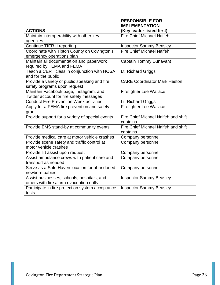|                                                                                        | <b>RESPONSIBLE FOR</b>                             |
|----------------------------------------------------------------------------------------|----------------------------------------------------|
| <b>ACTIONS</b>                                                                         | <b>IMPLEMENTATION</b><br>(Key leader listed first) |
| Maintain interoperability with other key                                               | <b>Fire Chief Michael Naifeh</b>                   |
| agencies                                                                               |                                                    |
| <b>Continue TIER II reporting</b>                                                      | <b>Inspector Sammy Beasley</b>                     |
| Coordinate with Tipton County on Covington's                                           | <b>Fire Chief Michael Naifeh</b>                   |
| emergency operations plan                                                              |                                                    |
| Maintain all documentation and paperwork                                               | <b>Captain Tommy Dunavant</b>                      |
| required by TEMA and FEMA                                                              |                                                    |
| Teach a CERT class in conjunction with HOSA                                            | Lt. Richard Griggs                                 |
| and for the public                                                                     |                                                    |
| Provide a variety of public speaking and fire                                          | <b>CARE Coordinator Mark Heston</b>                |
| safety programs upon request                                                           |                                                    |
| Maintain Facebook page, Instagram, and                                                 | <b>Firefighter Lee Wallace</b>                     |
| Twitter account for fire safety messages                                               |                                                    |
| <b>Conduct Fire Prevention Week activities</b>                                         | Lt. Richard Griggs                                 |
| Apply for a FEMA fire prevention and safety                                            | <b>Firefighter Lee Wallace</b>                     |
| grant                                                                                  |                                                    |
| Provide support for a variety of special events                                        | Fire Chief Michael Naifeh and shift                |
|                                                                                        | captains                                           |
| Provide EMS stand-by at community events                                               | Fire Chief Michael Naifeh and shift                |
|                                                                                        | captains                                           |
| Provide medical care at motor vehicle crashes                                          | Company personnel                                  |
| Provide scene safety and traffic control at                                            | Company personnel                                  |
| motor vehicle crashes                                                                  |                                                    |
| Provide lift assist upon request                                                       | Company personnel                                  |
| Assist ambulance crews with patient care and                                           | Company personnel                                  |
| transport as needed                                                                    |                                                    |
| Serve as a Safe Haven location for abandoned                                           | Company personnel                                  |
| newborn babies                                                                         |                                                    |
| Assist businesses, schools, hospitals, and<br>others with fire alarm evacuation drills | <b>Inspector Sammy Beasley</b>                     |
| Participate in fire protection system acceptance                                       | <b>Inspector Sammy Beasley</b>                     |
| tests                                                                                  |                                                    |
|                                                                                        |                                                    |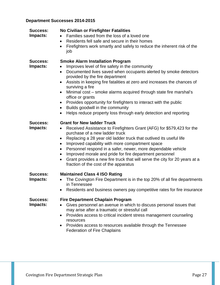### <span id="page-27-0"></span>**Department Successes 2014-2015**

| <b>Success:</b><br>Impacts:        | <b>No Civilian or Firefighter Fatalities</b><br>Families saved from the loss of a loved one<br>$\bullet$<br>Residents fell safe and secure in their homes<br>$\bullet$<br>Firefighters work smartly and safely to reduce the inherent risk of the<br>$\bullet$<br>job                                                                                                                                                                                                                                                                                                                                                                                            |
|------------------------------------|------------------------------------------------------------------------------------------------------------------------------------------------------------------------------------------------------------------------------------------------------------------------------------------------------------------------------------------------------------------------------------------------------------------------------------------------------------------------------------------------------------------------------------------------------------------------------------------------------------------------------------------------------------------|
| <b>Success:</b><br><b>Impacts:</b> | <b>Smoke Alarm Installation Program</b><br>Improves level of fire safety in the community<br>$\bullet$<br>Documented lives saved when occupants alerted by smoke detectors<br>$\bullet$<br>provided by the fire department<br>Assists in keeping fire fatalities at zero and increases the chances of<br>$\bullet$<br>surviving a fire<br>Minimal cost - smoke alarms acquired through state fire marshal's<br>$\bullet$<br>office or grants<br>Provides opportunity for firefighters to interact with the public<br>$\bullet$<br>Builds goodwill in the community<br>$\bullet$<br>Helps reduce property loss through early detection and reporting<br>$\bullet$ |
| Success:<br>Impacts:               | <b>Grant for New ladder Truck</b><br>Received Assistance to Firefighters Grant (AFG) for \$579,423 for the<br>$\bullet$<br>purchase of a new ladder truck<br>Replacing a 28 year old ladder truck that outlived its useful life<br>$\bullet$<br>Improved capability with more compartment space<br>$\bullet$<br>Personnel respond in a safer, newer, more dependable vehicle<br>$\bullet$<br>Improved morale and pride for fire department personnel<br>$\bullet$<br>Grant provides a new fire truck that will serve the city for 20 years at a<br>$\bullet$<br>fraction of the cost of the apparatus                                                            |
| <b>Success:</b><br>Impacts:        | <b>Maintained Class 4 ISO Rating</b><br>The Covington Fire Department is in the top 20% of all fire departments<br>in Tennessee<br>Residents and business owners pay competitive rates for fire insurance                                                                                                                                                                                                                                                                                                                                                                                                                                                        |
| <b>Success:</b><br>Impacts:        | <b>Fire Department Chaplain Program</b><br>Gives personnel an avenue in which to discuss personal issues that<br>$\bullet$<br>may arise after a traumatic or stressful call<br>Provides access to critical incident stress management counseling<br>$\bullet$<br>resources<br>Provides access to resources available through the Tennessee<br><b>Federation of Fire Chaplains</b>                                                                                                                                                                                                                                                                                |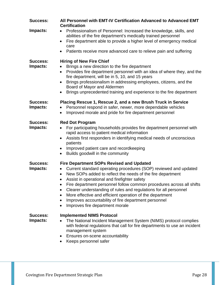| <b>Success:</b>             | All Personnel with EMT-IV Certification Advanced to Advanced EMT<br><b>Certification</b>                                                                                                                                                                                                                                                                                                                                                                                                                                                                       |
|-----------------------------|----------------------------------------------------------------------------------------------------------------------------------------------------------------------------------------------------------------------------------------------------------------------------------------------------------------------------------------------------------------------------------------------------------------------------------------------------------------------------------------------------------------------------------------------------------------|
| Impacts:                    | Professionalism of Personnel: Increased the knowledge, skills, and<br>abilities of the fire department's medically trained personnel                                                                                                                                                                                                                                                                                                                                                                                                                           |
|                             | Fire department able to provide a higher level of emergency medical<br>$\bullet$<br>care                                                                                                                                                                                                                                                                                                                                                                                                                                                                       |
|                             | Patients receive more advanced care to relieve pain and suffering                                                                                                                                                                                                                                                                                                                                                                                                                                                                                              |
| <b>Success:</b><br>Impacts: | <b>Hiring of New Fire Chief</b><br>Brings a new direction to the fire department<br>Provides fire department personnel with an idea of where they, and the<br>$\bullet$<br>fire department, will be in 5, 10, and 15 years<br>Brings professionalism in addressing employees, citizens, and the<br>$\bullet$<br>Board of Mayor and Aldermen<br>Brings unprecedented training and experience to the fire department                                                                                                                                             |
| <b>Success:</b><br>Impacts: | Placing Rescue 1, Rescue 2, and a new Brush Truck in Service<br>Personnel respond in safer, newer, more dependable vehicles<br>Improved morale and pride for fire department personnel<br>$\bullet$                                                                                                                                                                                                                                                                                                                                                            |
| <b>Success:</b><br>Impacts: | <b>Red Dot Program</b><br>For participating households provides fire department personnel with<br>$\bullet$<br>rapid access to patient medical information<br>Assists first responders in identifying medical needs of unconscious<br>$\bullet$<br>patients<br>Improved patient care and recordkeeping<br>Builds goodwill in the community<br>$\bullet$                                                                                                                                                                                                        |
| <b>Success:</b><br>Impacts: | <b>Fire Department SOPs Revised and Updated</b><br>Current standard operating procedures (SOP) reviewed and updated<br>$\bullet$<br>New SOPs added to reflect the needs of the fire department<br>$\bullet$<br>Assist in operational and firefighter safety<br>Fire department personnel follow common procedures across all shifts<br>Clearer understanding of rules and regulations for all personnel<br>More effective and efficient operation of the department<br>Improves accountability of fire department personnel<br>Improves fire department morale |
| <b>Success:</b><br>Impacts: | <b>Implemented NIMS Protocol</b><br>The National Incident Management System (NIMS) protocol complies<br>with federal regulations that call for fire departments to use an incident<br>management system<br>Ensures on-scene accountability<br>Keeps personnel safer                                                                                                                                                                                                                                                                                            |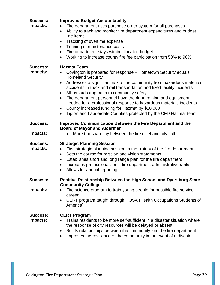| <b>Success:</b><br>Impacts:        | <b>Improved Budget Accountability</b><br>Fire department uses purchase order system for all purchases<br>Ability to track and monitor fire department expenditures and budget<br>line items<br>Tracking of overtime expense<br>Training of maintenance costs<br>$\bullet$<br>Fire department stays within allocated budget<br>Working to increase county fire fee participation from 50% to 90%                                                                                                                                                                                               |
|------------------------------------|-----------------------------------------------------------------------------------------------------------------------------------------------------------------------------------------------------------------------------------------------------------------------------------------------------------------------------------------------------------------------------------------------------------------------------------------------------------------------------------------------------------------------------------------------------------------------------------------------|
| <b>Success:</b><br>Impacts:        | <b>Hazmat Team</b><br>Covington is prepared for response – Hometown Security equals<br><b>Homeland Security</b><br>Addresses a significant risk to the community from hazardous materials<br>$\bullet$<br>accidents in truck and rail transportation and fixed facility incidents<br>All-hazards approach to community safety<br>Fire department personnel have the right training and equipment<br>needed for a professional response to hazardous materials incidents<br>County increased funding for Hazmat by \$10,000<br>Tipton and Lauderdale Counties protected by the CFD Hazmat team |
| <b>Success:</b><br>Impacts:        | Improved Communication Between the Fire Department and the<br><b>Board of Mayor and Aldermen</b><br>More transparency between the fire chief and city hall                                                                                                                                                                                                                                                                                                                                                                                                                                    |
| <b>Success:</b><br>Impacts:        | <b>Strategic Planning Session</b><br>First strategic planning session in the history of the fire department<br>$\bullet$<br>Sets the course for mission and vision statements<br>Establishes short and long range plan for the fire department<br>$\bullet$<br>Increases professionalism in fire department administrative ranks<br>$\bullet$<br>Allows for annual reporting<br>$\bullet$                                                                                                                                                                                                     |
| <b>Success:</b><br><b>Impacts:</b> | Positive Relationship Between the High School and Dyersburg State<br><b>Community College</b><br>Fire science program to train young people for possible fire service<br>career<br>CERT program taught through HOSA (Health Occupations Students of<br>$\bullet$<br>America)                                                                                                                                                                                                                                                                                                                  |
| <b>Success:</b><br><b>Impacts:</b> | <b>CERT Program</b><br>Trains residents to be more self-sufficient in a disaster situation where<br>the response of city resources will be delayed or absent<br>Builds relationships between the community and the fire department<br>$\bullet$<br>Improves the resilience of the community in the event of a disaster                                                                                                                                                                                                                                                                        |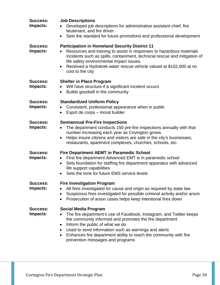| Success:<br>Impacts:        | <b>Job Descriptions</b><br>Developed job descriptions for administrative assistant chief, fire<br>lieutenant, and fire driver<br>Sets the standard for future promotions and professional development<br>$\bullet$                                                                                                                                                                          |
|-----------------------------|---------------------------------------------------------------------------------------------------------------------------------------------------------------------------------------------------------------------------------------------------------------------------------------------------------------------------------------------------------------------------------------------|
| <b>Success:</b><br>Impacts: | <b>Participation in Homeland Security District 11</b><br>Resources and training to assist in responses to hazardous materials<br>$\bullet$<br>incidents such as spills, containment, technical rescue and mitigation of<br>life safety environmental impact issues.<br>Received a Hydratrek water rescue vehicle valued at \$102,000 at no<br>$\bullet$<br>cost to the city                 |
| <b>Success:</b><br>Impacts: | <b>Shelter in Place Program</b><br>Will have structure if a significant incident occurs<br>$\bullet$<br>Builds goodwill in the community<br>$\bullet$                                                                                                                                                                                                                                       |
| <b>Success:</b><br>Impacts: | <b>Standardized Uniform Policy</b><br>Consistent, professional appearance when in public<br>Esprit de corps - moral builder<br>$\bullet$                                                                                                                                                                                                                                                    |
| <b>Success:</b><br>Impacts: | <b>Semiannual Pre-Fire Inspections</b><br>The department conducts 150 pre-fire inspections annually with that<br>number increasing each year as Covington grows.<br>Helps insure citizens and visitors are safe in the city's businesses,<br>$\bullet$<br>restaurants, apartment complexes, churches, schools, etc.                                                                         |
| <b>Success:</b><br>Impacts: | <b>Fire Department AEMT in Paramedic School</b><br>First fire department Advanced EMT is in paramedic school<br>$\bullet$<br>Sets foundation for staffing fire department apparatus with advanced<br>$\bullet$<br>life support capabilities<br>Sets the tone for future EMS service levels                                                                                                  |
| <b>Success:</b><br>Impacts: | <b>Fire Investigation Program</b><br>All fires investigated for cause and origin as required by state law<br>Suspicious fires investigated for possible criminal activity and/or arson<br>$\bullet$<br>Prosecution of arson cases helps keep intentional fires down                                                                                                                         |
| Success:<br>Impacts:        | <b>Social Media Program</b><br>The fire department's use of Facebook, Instagram, and Twitter keeps<br>the community informed and promotes the fire department<br>Inform the public of what we do<br>$\bullet$<br>Used to send information such as warnings and alerts<br>Enhances fire department ability to reach the community with fire<br>$\bullet$<br>prevention messages and programs |